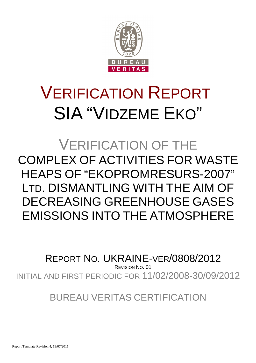

# VERIFICATION REPORT SIA "VIDZEME EKO"

VERIFICATION OF THE COMPLEX OF ACTIVITIES FOR WASTE HEAPS OF "EKOPROMRESURS-2007" LTD. DISMANTLING WITH THE AIM OF DECREASING GREENHOUSE GASES EMISSIONS INTO THE ATMOSPHERE

REPORT NO. UKRAINE-VER/0808/2012

REVISION NO. 01

INITIAL AND FIRST PERIODIC FOR 11/02/2008-30/09/2012

BUREAU VERITAS CERTIFICATION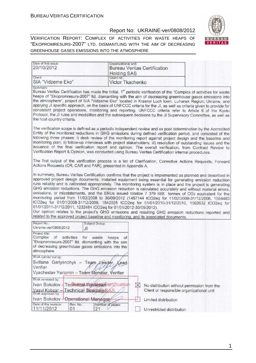

the state of the state of the state of the state of the state of the state of the state of the state of the state of the state of the state of the state of the state of the state of the state of the state of the state of t

| Date of first issue:<br>20/10/2012                                                                                                                                                                                                                                                                                                                                                                                                                                                                                                                                                                                                                                                                                                                                                                                                                                                                                                                                                                                                               | Organizational unit:<br><b>Holding SAS</b> | <b>Bureau Veritas Certification</b>                                                                  |  |
|--------------------------------------------------------------------------------------------------------------------------------------------------------------------------------------------------------------------------------------------------------------------------------------------------------------------------------------------------------------------------------------------------------------------------------------------------------------------------------------------------------------------------------------------------------------------------------------------------------------------------------------------------------------------------------------------------------------------------------------------------------------------------------------------------------------------------------------------------------------------------------------------------------------------------------------------------------------------------------------------------------------------------------------------------|--------------------------------------------|------------------------------------------------------------------------------------------------------|--|
| Client:<br>SIA "Vidzeme Eko"                                                                                                                                                                                                                                                                                                                                                                                                                                                                                                                                                                                                                                                                                                                                                                                                                                                                                                                                                                                                                     | Client ref.:<br>Victor Tkachenko           |                                                                                                      |  |
| Summary:<br>Bureau Veritas Certification has made the initial, 1 <sup>st</sup> periodic verification of the "Complex of activities for waste<br>heaps of "Ekopromresurs-2007" Itd. dismantling with the aim of decreasing greenhouse gases emissions into<br>the atmosphere", project of SIA "Vidzeme Eko" located in Krasnyi Luch town, Luhansk Region, Ukraine, and<br>applying JI specific approach, on the basis of UNFCCC criteria for the JI, as well as criteria given to provide for<br>consistent project operations, monitoring and reporting. UNFCCC criteria refer to Article 6 of the Kyoto<br>Protocol, the JI rules and modalities and the subsequent decisions by the JI Supervisory Committee, as well as<br>the host country criteria.                                                                                                                                                                                                                                                                                         |                                            |                                                                                                      |  |
| The verification scope is defined as a periodic independent review and ex post determination by the Accredited<br>Entity of the monitored reductions in GHG emissions during defined verification period, and consisted of the<br>following three phases: i) desk review of the monitoring report against project design and the baseline and<br>monitoring plan; ii) follow-up interviews with project stakeholders; iii) resolution of outstanding issues and the<br>issuance of the final verification report and opinion. The overall verification, from Contract Review to<br>Verification Report & Opinion, was conducted using Bureau Veritas Certification internal procedures.                                                                                                                                                                                                                                                                                                                                                          |                                            |                                                                                                      |  |
| The first output of the verification process is a list of Clarification, Corrective Actions Requests, Forward<br>Actions Requests (CR, CAR and FAR), presented in Appendix A.                                                                                                                                                                                                                                                                                                                                                                                                                                                                                                                                                                                                                                                                                                                                                                                                                                                                    |                                            |                                                                                                      |  |
| In summary, Bureau Veritas Certification confirms that the project is implemented as planned and described in<br>approved project design documents. Installed equipment being essential for generating emission reduction<br>runs reliably and is calibrated appropriately. The monitoring system is in place and the project is generating<br>GHG emission reductions. The GHG emission reduction is calculated accurately and without material errors,<br>omissions, or misstatements, and the ERUs issued totalize 7 379 668 tonnes of CO2 equivalent for the<br>monitoring period from 11/02/2008 to 30/09/2012 (1457144 tCO2eq for 11/02/2008-31/12/2008, 1584483<br>tCO2eq for 01/01/2009-31/12/2009, 1542925 tCO2eq for 01/01/2010-31/12/2010, 1562632 tCO2eq for<br>01/01/2011-31/12/2011, 1232484 tCO2eq for 01/01/2012-30/09/2012).<br>Our opinion relates to the project's GHG emissions and resulting GHG emission reductions reported and<br>related to the approved project baseline and monitoring, and its associated documents. |                                            |                                                                                                      |  |
| Report No.:<br>Subject Group:<br>Ukraine-ver/0808/2012<br>JI                                                                                                                                                                                                                                                                                                                                                                                                                                                                                                                                                                                                                                                                                                                                                                                                                                                                                                                                                                                     |                                            |                                                                                                      |  |
| Project title:<br>Complex<br>of activities<br>for waste<br>"Ekopromresurs-2007" Itd. dismantling with the aim<br>of decreasing greenhouse gases emissions into the<br>atmosphere                                                                                                                                                                                                                                                                                                                                                                                                                                                                                                                                                                                                                                                                                                                                                                                                                                                                 | heaps<br>of                                |                                                                                                      |  |
| Work carried out by:<br>Svitlana Gariyenchyk - Team Leader, Lead<br>Verifier<br>Vyacheslav Yeriomin - Team Member, Verifier                                                                                                                                                                                                                                                                                                                                                                                                                                                                                                                                                                                                                                                                                                                                                                                                                                                                                                                      |                                            |                                                                                                      |  |
| Work reviewed by:<br>Ivan Sokolov - Technical Reviewer ertification<br>Vasyl Kobzar - Technical Specialis SAS<br>Work approved by:                                                                                                                                                                                                                                                                                                                                                                                                                                                                                                                                                                                                                                                                                                                                                                                                                                                                                                               |                                            | $\times$<br>No distribution without permission from the<br>Client or responsible organizational unit |  |
| Ivan Sokolov - Operational Manager<br>Date of this revision:                                                                                                                                                                                                                                                                                                                                                                                                                                                                                                                                                                                                                                                                                                                                                                                                                                                                                                                                                                                     |                                            | Limited distribution                                                                                 |  |
| Rev. No.:<br>11/11/2012<br>01<br>21                                                                                                                                                                                                                                                                                                                                                                                                                                                                                                                                                                                                                                                                                                                                                                                                                                                                                                                                                                                                              | Number of pages:                           | Unrestricted distribution                                                                            |  |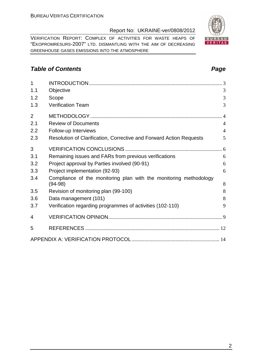VERIFICATION REPORT: COMPLEX OF ACTIVITIES FOR WASTE HEAPS OF "EKOPROMRESURS-2007" LTD. DISMANTLING WITH THE AIM OF DECREASING GREENHOUSE GASES EMISSIONS INTO THE ATMOSPHERE

# **Table of Contents Page 2014**

| 1              |                                                                     |                |
|----------------|---------------------------------------------------------------------|----------------|
| 1.1            | Objective                                                           | 3              |
| 1.2            | Scope                                                               | 3              |
| 1.3            | <b>Verification Team</b>                                            | 3              |
| $\overline{2}$ |                                                                     |                |
| 2.1            | <b>Review of Documents</b>                                          | $\overline{4}$ |
| 2.2            | Follow-up Interviews                                                | $\overline{4}$ |
| 2.3            | Resolution of Clarification, Corrective and Forward Action Requests | 5              |
| 3              |                                                                     |                |
| 3.1            | Remaining issues and FARs from previous verifications               | 6              |
| 3.2            | Project approval by Parties involved (90-91)                        | 6              |
| 3.3            | Project implementation (92-93)                                      | 6              |
| 3.4            | Compliance of the monitoring plan with the monitoring methodology   |                |
|                | $(94-98)$                                                           | 8              |
| 3.5            | Revision of monitoring plan (99-100)                                | 8              |
| 3.6            | Data management (101)                                               | 8              |
| 3.7            | Verification regarding programmes of activities (102-110)           | 9              |
| 4              |                                                                     |                |
| 5              |                                                                     |                |
|                |                                                                     |                |

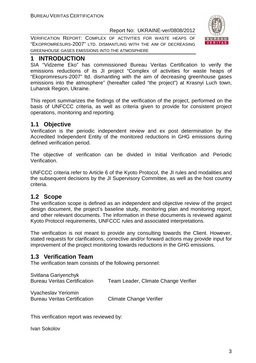VERIFICATION REPORT: COMPLEX OF ACTIVITIES FOR WASTE HEAPS OF "EKOPROMRESURS-2007" LTD. DISMANTLING WITH THE AIM OF DECREASING GREENHOUSE GASES EMISSIONS INTO THE ATMOSPHERE

#### **1 INTRODUCTION**

SIA "Vidzeme Eko" has commissioned Bureau Veritas Certification to verify the emissions reductions of its JI project "Complex of activities for waste heaps of "Ekopromresurs-2007" ltd. dismantling with the aim of decreasing greenhouse gases emissions into the atmosphere" (hereafter called "the project") at Krasnyi Luch town, Luhansk Region, Ukraine.

This report summarizes the findings of the verification of the project, performed on the basis of UNFCCC criteria, as well as criteria given to provide for consistent project operations, monitoring and reporting.

# **1.1 Objective**

Verification is the periodic independent review and ex post determination by the Accredited Independent Entity of the monitored reductions in GHG emissions during defined verification period.

The objective of verification can be divided in Initial Verification and Periodic Verification.

UNFCCC criteria refer to Article 6 of the Kyoto Protocol, the JI rules and modalities and the subsequent decisions by the JI Supervisory Committee, as well as the host country criteria.

# **1.2 Scope**

The verification scope is defined as an independent and objective review of the project design document, the project's baseline study, monitoring plan and monitoring report, and other relevant documents. The information in these documents is reviewed against Kyoto Protocol requirements, UNFCCC rules and associated interpretations.

The verification is not meant to provide any consulting towards the Client. However, stated requests for clarifications, corrective and/or forward actions may provide input for improvement of the project monitoring towards reductions in the GHG emissions.

# **1.3 Verification Team**

The verification team consists of the following personnel:

| Svitlana Gariyenchyk<br><b>Bureau Veritas Certification</b> | Team Leader, Climate Change Verifier |
|-------------------------------------------------------------|--------------------------------------|
| Vyacheslav Yeriomin<br><b>Bureau Veritas Certification</b>  | <b>Climate Change Verifier</b>       |

This verification report was reviewed by:

Ivan Sokolov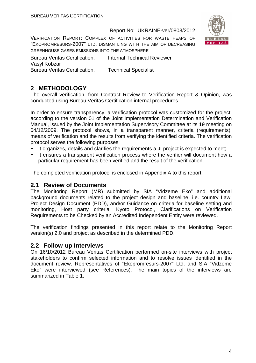

VERIFICATION REPORT: COMPLEX OF ACTIVITIES FOR WASTE HEAPS OF "EKOPROMRESURS-2007" LTD. DISMANTLING WITH THE AIM OF DECREASING GREENHOUSE GASES EMISSIONS INTO THE ATMOSPHERE

Bureau Veritas Certification, Internal Technical Reviewer Vasyl Kobzar Bureau Veritas Certification, Technical Specialist

# **2 METHODOLOGY**

The overall verification, from Contract Review to Verification Report & Opinion, was conducted using Bureau Veritas Certification internal procedures.

In order to ensure transparency, a verification protocol was customized for the project, according to the version 01 of the Joint Implementation Determination and Verification Manual, issued by the Joint Implementation Supervisory Committee at its 19 meeting on 04/12/2009. The protocol shows, in a transparent manner, criteria (requirements), means of verification and the results from verifying the identified criteria. The verification protocol serves the following purposes:

- It organizes, details and clarifies the requirements a JI project is expected to meet;
- It ensures a transparent verification process where the verifier will document how a particular requirement has been verified and the result of the verification.

The completed verification protocol is enclosed in Appendix A to this report.

#### **2.1 Review of Documents**

The Monitoring Report (MR) submitted by SIA "Vidzeme Eko" and additional background documents related to the project design and baseline, i.e. country Law, Project Design Document (PDD), and/or Guidance on criteria for baseline setting and monitoring, Host party criteria, Kyoto Protocol, Clarifications on Verification Requirements to be Checked by an Accredited Independent Entity were reviewed.

The verification findings presented in this report relate to the Monitoring Report version(s) 2.0 and project as described in the determined PDD.

#### **2.2 Follow-up Interviews**

On 16/10/2012 Bureau Veritas Certification performed on-site interviews with project stakeholders to confirm selected information and to resolve issues identified in the document review. Representatives of "Ekopromresurs-2007" Ltd. and SIA "Vidzeme Eko" were interviewed (see References). The main topics of the interviews are summarized in Table 1.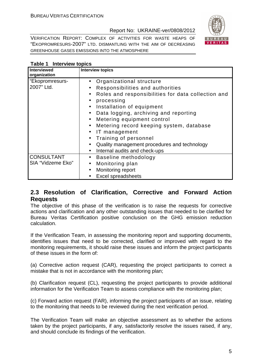

VERIFICATION REPORT: COMPLEX OF ACTIVITIES FOR WASTE HEAPS OF "EKOPROMRESURS-2007" LTD. DISMANTLING WITH THE AIM OF DECREASING GREENHOUSE GASES EMISSIONS INTO THE ATMOSPHERE

|  | Table 1 | Interview topics |
|--|---------|------------------|
|--|---------|------------------|

| <b>Interviewed</b><br>organization     | <b>Interview topics</b>                                                                                                                                                                                                                                                                                                                                                                                                                                                                                                                                      |
|----------------------------------------|--------------------------------------------------------------------------------------------------------------------------------------------------------------------------------------------------------------------------------------------------------------------------------------------------------------------------------------------------------------------------------------------------------------------------------------------------------------------------------------------------------------------------------------------------------------|
| "Ekopromresurs-<br>2007" Ltd.          | • Organizational structure<br>Responsibilities and authorities<br>$\bullet$<br>Roles and responsibilities for data collection and<br>$\bullet$<br>processing<br>$\bullet$<br>Installation of equipment<br>$\bullet$<br>Data logging, archiving and reporting<br>$\bullet$<br>Metering equipment control<br>$\bullet$<br>Metering record keeping system, database<br>$\bullet$<br>IT management<br>$\bullet$<br>Training of personnel<br>$\bullet$<br>Quality management procedures and technology<br>$\bullet$<br>Internal audits and check-ups<br>$\bullet$ |
| <b>CONSULTANT</b><br>SIA "Vidzeme Eko" | Baseline methodology<br>$\bullet$<br>Monitoring plan<br>$\bullet$<br>Monitoring report<br>$\bullet$<br><b>Excel spreadsheets</b><br>$\bullet$                                                                                                                                                                                                                                                                                                                                                                                                                |

# **2.3 Resolution of Clarification, Corrective and Forward Action Requests**

The objective of this phase of the verification is to raise the requests for corrective actions and clarification and any other outstanding issues that needed to be clarified for Bureau Veritas Certification positive conclusion on the GHG emission reduction calculation.

If the Verification Team, in assessing the monitoring report and supporting documents, identifies issues that need to be corrected, clarified or improved with regard to the monitoring requirements, it should raise these issues and inform the project participants of these issues in the form of:

(a) Corrective action request (CAR), requesting the project participants to correct a mistake that is not in accordance with the monitoring plan;

(b) Clarification request (CL), requesting the project participants to provide additional information for the Verification Team to assess compliance with the monitoring plan;

(c) Forward action request (FAR), informing the project participants of an issue, relating to the monitoring that needs to be reviewed during the next verification period.

The Verification Team will make an objective assessment as to whether the actions taken by the project participants, if any, satisfactorily resolve the issues raised, if any, and should conclude its findings of the verification.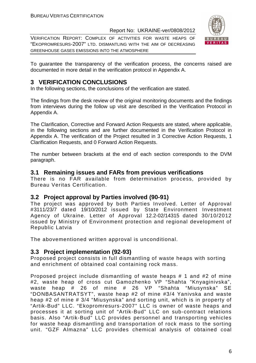VERIFICATION REPORT: COMPLEX OF ACTIVITIES FOR WASTE HEAPS OF "EKOPROMRESURS-2007" LTD. DISMANTLING WITH THE AIM OF DECREASING GREENHOUSE GASES EMISSIONS INTO THE ATMOSPHERE



To guarantee the transparency of the verification process, the concerns raised are documented in more detail in the verification protocol in Appendix A.

# **3 VERIFICATION CONCLUSIONS**

In the following sections, the conclusions of the verification are stated.

The findings from the desk review of the original monitoring documents and the findings from interviews during the follow up visit are described in the Verification Protocol in Appendix A.

The Clarification, Corrective and Forward Action Requests are stated, where applicable, in the following sections and are further documented in the Verification Protocol in Appendix A. The verification of the Project resulted in 3 Corrective Action Requests, 1 Clarification Requests, and 0 Forward Action Requests.

The number between brackets at the end of each section corresponds to the DVM paragraph.

#### **3.1 Remaining issues and FARs from previous verifications**

There is no FAR available from determination process, provided by Bureau Veritas Certification.

#### **3.2 Project approval by Parties involved (90-91)**

The project was approved by both Parties Involved. Letter of Approval #3111/23/7 dated 19/10/2012 issued by State Environment Investment Agency of Ukraine. Letter of Approval 12.2-02/14315 dated 30/10/2012 issued by Ministry of Environment protection and regional development of Republic Latvia

The abovementioned written approval is unconditional.

#### **3.3 Project implementation (92-93)**

Proposed project consists in full dismantling of waste heaps with sorting and enrichment of obtained coal containing rock mass.

Proposed project include dismantling of waste heaps # 1 and #2 of mine #2, waste heap of cross cut Gamozhenko VP "Shahta "Knyaginivska", waste heap # 26 of mine # 26 VP "Shahta "Miusynska" SE "DONBASANTRATSYT", waste heap #2 of mine #3/4 Yanivska and waste heap #2 of mine # 3/4 "Miusynska" and sorting unit, which is in property of "Artik-Bud" LLC. "Ekopromresurs-2007" LLC is owner of waste heaps and processes it at sorting unit of "Artik-Bud" LLC on sub-contract relations basis. Also "Artik-Bud" LLC provides personnel and transporting vehicles for waste heap dismantling and transportation of rock mass to the sorting unit. "GZF Almazna" LLC provides chemical analysis of obtained coal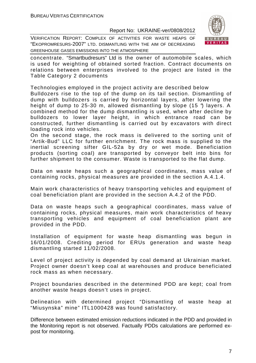



concentrate. "Smartbudresurs" Ltd is the owner of automobile scales, which is used for weighting of obtained sorted fraction. Contract documents on relations between enterprises involved to the project are listed in the Table Category 2 documents

Technologies employed in the project activity are described below Bulldozers rise to the top of the dump on its tail section. Dismantling of dump with bulldozers is carried by horizontal layers, after lowering the height of dump to 25-30 m, allowed dismantling by slope (15 °) layers. A combined method for the dump dismantling is used, when after decline by bulldozers to lower layer height, in which entrance road can be constructed, further dismantling is carried out by excavators with direct loading rock into vehicles.

On the second stage, the rock mass is delivered to the sorting unit of "Artik-Bud" LLC for further enrichment. The rock mass is supplied to the inertial screening sifter GIL-52a by dry or wet mode. Beneficiation products (sorting coal) are transported by conveyor belt into bins for further shipment to the consumer. Waste is transported to the flat dump.

Data on waste heaps such a geographical coordinates, mass value of containing rocks, physical measures are provided in the section A.4.1.4.

Main work characteristics of heavy transporting vehicles and equipment of coal beneficiation plant are provided in the section A.4.2 of the PDD.

Data on waste heaps such a geographical coordinates, mass value of containing rocks, physical measures, main work characteristics of heavy transporting vehicles and equipment of coal beneficiation plant are provided in the PDD.

Installation of equipment for waste heap dismantling was begun in 16/01/2008. Crediting period for ERUs generation and waste heap dismantling started 11/02/2008.

Level of project activity is depended by coal demand at Ukrainian market. Project owner doesn't keep coal at warehouses and produce beneficiated rock mass as when necessary.

Project boundaries described in the determined PDD are kept; coal from another waste heaps doesn't uses in project.

Delineation with determined project "Dismantling of waste heap at "Miusynska" mine" ITL1000428 was found satisfactory.

Difference between estimated emission reductions indicated in the PDD and provided in the Monitoring report is not observed. Factually PDDs calculations are performed expost for monitoring.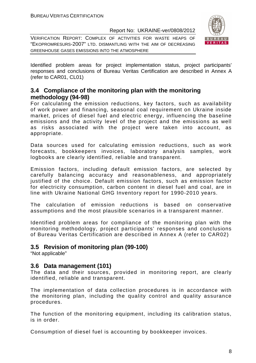VERIFICATION REPORT: COMPLEX OF ACTIVITIES FOR WASTE HEAPS OF "EKOPROMRESURS-2007" LTD. DISMANTLING WITH THE AIM OF DECREASING GREENHOUSE GASES EMISSIONS INTO THE ATMOSPHERE



Identified problem areas for project implementation status, project participants' responses and conclusions of Bureau Veritas Certification are described in Annex A (refer to CAR01, CL01)

### **3.4 Compliance of the monitoring plan with the monitoring methodology (94-98)**

For calculating the emission reductions, key factors, such as availability of work power and financing, seasonal coal requirement on Ukraine inside market, prices of diesel fuel and electric energy, influencing the baseline emissions and the activity level of the project and the emissions as well as risks associated with the project were taken into account, as appropriate.

Data sources used for calculating emission reductions, such as work forecasts, bookkeepers invoices, laboratory analysis samples, work logbooks are clearly identified, reliable and transparent.

Emission factors, including default emission factors, are selected by carefully balancing accuracy and reasonableness, and appropriately justified of the choice. Default emission factors, such as emission factor for electricity consumption, carbon content in diesel fuel and coal, are in line with Ukraine National GHG Inventory report for 1990-2010 years.

The calculation of emission reductions is based on conservative assumptions and the most plausible scenarios in a transparent manner.

Identified problem areas for compliance of the monitoring plan with the monitoring methodology, project participants' responses and conclusions of Bureau Veritas Certification are described in Annex A (refer to CAR02)

#### **3.5 Revision of monitoring plan (99-100)**

"Not applicable"

#### **3.6 Data management (101)**

The data and their sources, provided in monitoring report, are clearly identified, reliable and transparent.

The implementation of data collection procedures is in accordance with the monitoring plan, including the quality control and quality assurance procedures.

The function of the monitoring equipment, including its calibration status, is in order.

Consumption of diesel fuel is accounting by bookkeeper invoices.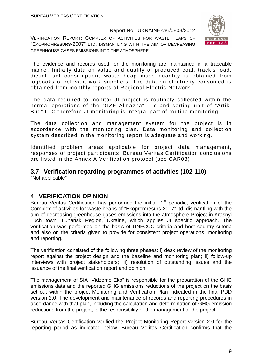VERIFICATION REPORT: COMPLEX OF ACTIVITIES FOR WASTE HEAPS OF "EKOPROMRESURS-2007" LTD. DISMANTLING WITH THE AIM OF DECREASING GREENHOUSE GASES EMISSIONS INTO THE ATMOSPHERE



The evidence and records used for the monitoring are maintained in a traceable manner. Initially data on value and quality of produced coal, track's load, diesel fuel consumption, waste heap mass quantity is obtained from logbooks of relevant work suppliers. The data on electricity consumed is obtained from monthly reports of Regional Electric Network.

The data required to monitor JI project is routinely collected within the normal operations of the "GZF Almazna" LLc and sorting unit of "Artik-Bud" LLC therefore JI monitoring is integral part of routine monitoring

The data collection and management system for the project is in accordance with the monitoring plan. Data monitoring and collection system described in the monitoring report is adequate and working.

Identified problem areas applicable for project data management, responses of project participants, Bureau Veritas Certification conclusions are listed in the Annex A Verification protocol (see CAR03)

# **3.7 Verification regarding programmes of activities (102-110)**

"Not applicable"

# **4 VERIFICATION OPINION**

Bureau Veritas Certification has performed the initial,  $1<sup>st</sup>$  periodic, verification of the Complex of activities for waste heaps of "Ekopromresurs-2007" ltd. dismantling with the aim of decreasing greenhouse gases emissions into the atmosphere Project in Krasnyi Luch town, Luhansk Region, Ukraine, which applies JI specific approach. The verification was performed on the basis of UNFCCC criteria and host country criteria and also on the criteria given to provide for consistent project operations, monitoring and reporting.

The verification consisted of the following three phases: i) desk review of the monitoring report against the project design and the baseline and monitoring plan; ii) follow-up interviews with project stakeholders; iii) resolution of outstanding issues and the issuance of the final verification report and opinion.

The management of SIA "Vidzeme Eko" is responsible for the preparation of the GHG emissions data and the reported GHG emissions reductions of the project on the basis set out within the project Monitoring and Verification Plan indicated in the final PDD version 2.0. The development and maintenance of records and reporting procedures in accordance with that plan, including the calculation and determination of GHG emission reductions from the project, is the responsibility of the management of the project.

Bureau Veritas Certification verified the Project Monitoring Report version 2.0 for the reporting period as indicated below. Bureau Veritas Certification confirms that the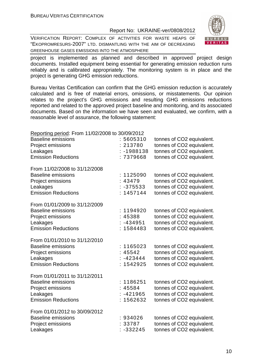VERIFICATION REPORT: COMPLEX OF ACTIVITIES FOR WASTE HEAPS OF "EKOPROMRESURS-2007" LTD. DISMANTLING WITH THE AIM OF DECREASING GREENHOUSE GASES EMISSIONS INTO THE ATMOSPHERE



project is implemented as planned and described in approved project design documents. Installed equipment being essential for generating emission reduction runs reliably and is calibrated appropriately. The monitoring system is in place and the project is generating GHG emission reductions.

Bureau Veritas Certification can confirm that the GHG emission reduction is accurately calculated and is free of material errors, omissions, or misstatements. Our opinion relates to the project's GHG emissions and resulting GHG emissions reductions reported and related to the approved project baseline and monitoring, and its associated documents. Based on the information we have seen and evaluated, we confirm, with a reasonable level of assurance, the following statement:

| Reporting period: From 11/02/2008 to 30/09/2012 |                           |                                                        |
|-------------------------------------------------|---------------------------|--------------------------------------------------------|
| <b>Baseline emissions</b><br>Project emissions  | : 5605310<br>213780       | tonnes of CO2 equivalent.<br>tonnes of CO2 equivalent. |
| Leakages<br><b>Emission Reductions</b>          | $: -1988138$<br>: 7379668 | tonnes of CO2 equivalent.<br>tonnes of CO2 equivalent. |
| From 11/02/2008 to 31/12/2008                   |                           |                                                        |
| <b>Baseline emissions</b>                       | : 1125090                 | tonnes of CO2 equivalent.                              |
| Project emissions<br>Leakages                   | : 43479<br>$: -375533$    | tonnes of CO2 equivalent.<br>tonnes of CO2 equivalent. |
| <b>Emission Reductions</b>                      | : 1457144                 | tonnes of CO2 equivalent.                              |
| From 01/01/2009 to 31/12/2009                   |                           |                                                        |
| <b>Baseline emissions</b>                       | : 1194920                 | tonnes of CO2 equivalent.                              |
| Project emissions<br>Leakages                   | : 45388<br>$: -434951$    | tonnes of CO2 equivalent.<br>tonnes of CO2 equivalent. |
| <b>Emission Reductions</b>                      | 1584483                   | tonnes of CO2 equivalent.                              |
| From 01/01/2010 to 31/12/2010                   |                           |                                                        |
| <b>Baseline emissions</b>                       | : 1165023                 | tonnes of CO2 equivalent.                              |
| Project emissions                               | : 45542                   | tonnes of CO2 equivalent.                              |
| Leakages<br><b>Emission Reductions</b>          | $-423444$<br>: 1542925    | tonnes of CO2 equivalent.<br>tonnes of CO2 equivalent. |
| From 01/01/2011 to 31/12/2011                   |                           |                                                        |
| <b>Baseline emissions</b>                       | : 1186251                 | tonnes of CO2 equivalent.                              |
| Project emissions                               | 45584                     | tonnes of CO2 equivalent.                              |
| Leakages<br><b>Emission Reductions</b>          | $: -421965$               | tonnes of CO2 equivalent.                              |
|                                                 | : 1562632                 | tonnes of CO2 equivalent.                              |
| From 01/01/2012 to 30/09/2012                   |                           |                                                        |
| <b>Baseline emissions</b>                       | : 934026                  | tonnes of CO2 equivalent.                              |
| Project emissions<br>Leakages                   | 33787<br>$: -332245$      | tonnes of CO2 equivalent.<br>tonnes of CO2 equivalent. |
|                                                 |                           |                                                        |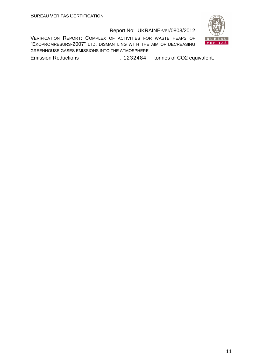VERIFICATION REPORT: COMPLEX OF ACTIVITIES FOR WASTE HEAPS OF "EKOPROMRESURS-2007" LTD. DISMANTLING WITH THE AIM OF DECREASING GREENHOUSE GASES EMISSIONS INTO THE ATMOSPHERE



Emission Reductions : 1232484 tonnes of CO2 equivalent.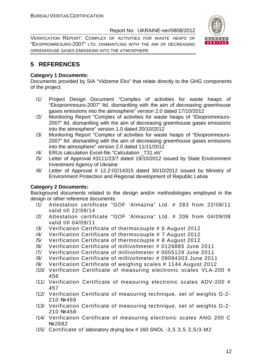VERIFICATION REPORT: COMPLEX OF ACTIVITIES FOR WASTE HEAPS OF "EKOPROMRESURS-2007" LTD. DISMANTLING WITH THE AIM OF DECREASING GREENHOUSE GASES EMISSIONS INTO THE ATMOSPHERE



# **5 REFERENCES**

#### **Category 1 Documents:**

Documents provided by SIA "Vidzeme Eko" that relate directly to the GHG components of the project.

- /1/ Project Design Document "Complex of activities for waste heaps of "Ekopromresurs-2007" ltd. dismantling with the aim of decreasing greenhouse gases emissions into the atmosphere" version 2.0 dated 17/10/2012
- /2/ Monitoring Report "Complex of activities for waste heaps of "Ekopromresurs-2007" ltd. dismantling with the aim of decreasing greenhouse gases emissions into the atmosphere" version 1.0 dated 20/10/2012
- /3/ Monitoring Report "Complex of activities for waste heaps of "Ekopromresurs-2007" ltd. dismantling with the aim of decreasing greenhouse gases emissions into the atmosphere" version 2.0 dated 11/11/2012
- /4/ ERUs calculation Excel-file "Calculation \_T31.xls"
- /5/ Letter of Approval #3111/23/7 dated 19/10/2012 issued by State Environment Investment Agency of Ukraine
- /6/ Letter of Approval # 12.2-02/14315 dated 30/10/2012 issued by Ministry of Environment Protection and Regional development of Republic Latvia

#### **Category 2 Documents:**

Background documents related to the design and/or methodologies employed in the design or other reference documents.

- /1/ Attestation certificate "GOF 'Almazna" Ltd. # 283 from 22/08/11 valid till 22/08/14
- /2/ Attestation certificate "GOF 'Almazna" Ltd. # 206 from 04/09/08 valid till 04/09/11
- /3/ Verification Certificate of thermocouple # 6 August 2012
- /4/ Verification Certificate of thermocouple # 7 August 2012
- /5/ Verification Certificate of thermocouple # 8 August 2012
- /6/ Verification Certificate of millivoltmeter # 0126885 June 2011
- /7/ Verification Certificate of millivoltmeter # 0055129 June 2011
- /8/ Verification Certificate of millivoltmeter # 09094303 June 2011
- /9/ Verification Certificate of weighing scales # 1144 August 2012
- /10/ Verification Certificate of measuring electronic scales VLA-200 # 456
- /11/ Verification Certificate of measuring electronic scales ADV-200 # 457
- /12/ Verification Certificate of measuring technique, set of weights G-2- 210 №459
- /13/ Verification Certificate of measuring technique, set of weights G-2- 210 №458
- /14/ Verification Certificate of measuring electronic scales ANG 200 C №2682
- /15/ Certificate of laboratory drying box # 160 SNOL -3,5.3,5.3,5/3-M2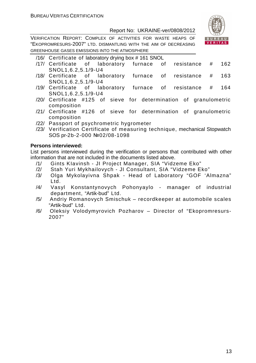

VERIFICATION REPORT: COMPLEX OF ACTIVITIES FOR WASTE HEAPS OF "EKOPROMRESURS-2007" LTD. DISMANTLING WITH THE AIM OF DECREASING GREENHOUSE GASES EMISSIONS INTO THE ATMOSPHERE

/16/ Certificate of laboratory drying box # 161 SNOL

- /17/ Certificate of laboratory furnace of resistance # 162 SNOL1,6.2,5.1/9-U4
- /18/ Certificate of laboratory furnace of resistance # 163 SNOL1,6.2,5.1/9-U4
- /19/ Certificate of laboratory furnace of resistance # 164 SNOL1,6.2,5.1/9-U4
- /20/ Certificate #125 of sieve for determination of granulometric composition
- /21/ Certificate #126 of sieve for determination of granulometric composition
- /22/ Passport of psychrometric hygrometer
- /23/ Verification Certificate of measuring technique, mechanical Stopwatch SOS pr-2b-2-000 №02/08-1098

#### **Persons interviewed:**

List persons interviewed during the verification or persons that contributed with other information that are not included in the documents listed above.

- /1/ Gints KIavinsh JI Project Manager, SIA "Vidzeme Eko"
- /2/ Stah Yuri Mykhailovych JI Consultant, SIA "Vidzeme Eko"
- /3/ Olga Mykolayivna Shpak Head of Laboratory "GOF 'Almazna" Ltd.
- /4/ Vasyl Konstantynovych Pohonyaylo manager of industrial department, "Artik-bud" Ltd.
- /5/ Andriy Romanovych Smischuk recordkeeper at automobile scales "Artik-bud" Ltd.
- /6/ Oleksiy Volodymyrovich Pozharov Director of "Ekopromresurs-2007"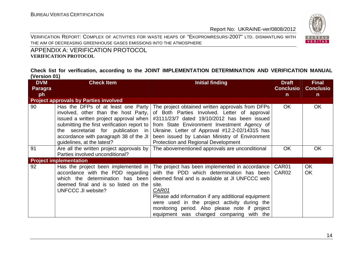VERIFICATION REPORT: COMPLEX OF ACTIVITIES FOR WASTE HEAPS OF "EKOPROMRESURS-2007" LTD. DISMANTLING WITH THE AIM OF DECREASING GREENHOUSE GASES EMISSIONS INTO THE ATMOSPHERE



APPENDIX A: VERIFICATION PROTOCOL **VERIFICATION PROTOCOL** 

**Check list for verification, according to the JOINT IMPLEMENTATION DETERMINATION AND VERIFICATION MANUAL (Version 01)** 

| <b>DVM</b> | <b>Check Item</b>                                                                                                                                                          | Initial finding                                                                                                                                                                                                                                                                                                                                                                                                                                                          |                            |                  |
|------------|----------------------------------------------------------------------------------------------------------------------------------------------------------------------------|--------------------------------------------------------------------------------------------------------------------------------------------------------------------------------------------------------------------------------------------------------------------------------------------------------------------------------------------------------------------------------------------------------------------------------------------------------------------------|----------------------------|------------------|
| Paragra    |                                                                                                                                                                            |                                                                                                                                                                                                                                                                                                                                                                                                                                                                          | <b>Conclusio</b>           | <b>Conclusio</b> |
| ph         |                                                                                                                                                                            |                                                                                                                                                                                                                                                                                                                                                                                                                                                                          | $\mathsf{n}$               | $\mathsf{n}$     |
|            | <b>Project approvals by Parties involved</b>                                                                                                                               |                                                                                                                                                                                                                                                                                                                                                                                                                                                                          |                            |                  |
| 90         | submitting the first verification report to<br>the secretariat for publication in<br>accordance with paragraph 38 of the JI<br>guidelines, at the latest?                  | Has the DFPs of at least one Party The project obtained written approvals from DFPs<br>involved, other than the host Party, of Both Parties Involved. Letter of approval<br>issued a written project approval when $\frac{43111}{237}$ dated 19/10/2012 has been issued<br>from State Environment Investment Agency of<br>Ukraine. Letter of Approval #12.2-02/14315 has<br>been issued by Latvian Ministry of Environment<br><b>Protection and Regional Development</b> | <b>OK</b>                  | OK               |
| 91         | Are all the written project approvals by<br>Parties involved unconditional?                                                                                                | The abovementioned approvals are unconditional                                                                                                                                                                                                                                                                                                                                                                                                                           | <b>OK</b>                  | <b>OK</b>        |
|            | <b>Project implementation</b>                                                                                                                                              |                                                                                                                                                                                                                                                                                                                                                                                                                                                                          |                            |                  |
| 92         | Has the project been implemented in<br>accordance with the PDD regarding<br>which the determination has been<br>deemed final and is so listed on the<br>UNFCCC JI website? | The project has been implemented in accordance<br>with the PDD which determination has been<br>deemed final and is available at JI UNFCCC web<br>site.<br>CAR01<br>Please add information if any additional equipment<br>were used in the project activity during the<br>monitoring period. Also please note if project<br>equipment was changed comparing with the                                                                                                      | CAR01<br>CAR <sub>02</sub> | <b>OK</b><br>OK  |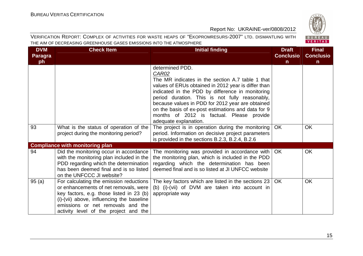

| <b>DVM</b> | <b>Check Item</b>                                                                | <b>Initial finding</b>                                             | <b>Draft</b>     | <b>Final</b>     |
|------------|----------------------------------------------------------------------------------|--------------------------------------------------------------------|------------------|------------------|
| Paragra    |                                                                                  |                                                                    | <b>Conclusio</b> | <b>Conclusio</b> |
| ph         |                                                                                  |                                                                    | n.               | $\mathsf{n}$     |
|            |                                                                                  | determined PDD.<br><b>CAR02</b>                                    |                  |                  |
|            |                                                                                  | The MR indicates in the section A.7 table 1 that                   |                  |                  |
|            |                                                                                  | values of ERUs obtained in 2012 year is differ than                |                  |                  |
|            |                                                                                  | indicated in the PDD by difference in monitoring                   |                  |                  |
|            |                                                                                  | period duration. This is not fully reasonably,                     |                  |                  |
|            |                                                                                  | because values in PDD for 2012 year are obtained                   |                  |                  |
|            |                                                                                  | on the basis of ex-post estimations and data for 9                 |                  |                  |
|            |                                                                                  | months of 2012 is factual. Please provide<br>adequate explanation. |                  |                  |
| 93         | What is the status of operation of the                                           | The project is in operation during the monitoring                  | <b>OK</b>        | <b>OK</b>        |
|            | project during the monitoring period?                                            | period. Information on decisive project parameters                 |                  |                  |
|            |                                                                                  | is provided in the sections B.2.3, B.2.4, B.2.6                    |                  |                  |
|            | <b>Compliance with monitoring plan</b>                                           |                                                                    |                  |                  |
| 94         | Did the monitoring occur in accordance                                           | The monitoring was provided in accordance with                     | <b>OK</b>        | OK               |
|            | with the monitoring plan included in the                                         | the monitoring plan, which is included in the PDD                  |                  |                  |
|            | PDD regarding which the determination                                            | regarding which the determination has been                         |                  |                  |
|            | has been deemed final and is so listed                                           | deemed final and is so listed at JI UNFCC website                  |                  |                  |
| 95(a)      | on the UNFCCC JI website?                                                        | The key factors which are listed in the sections 23                | <b>OK</b>        | <b>OK</b>        |
|            | For calculating the emission reductions<br>or enhancements of net removals, were | (b) (i)-(vii) of DVM are taken into account in                     |                  |                  |
|            | key factors, e.g. those listed in 23 (b)                                         | appropriate way                                                    |                  |                  |
|            | (i)-(vii) above, influencing the baseline                                        |                                                                    |                  |                  |
|            | emissions or net removals and the                                                |                                                                    |                  |                  |
|            | activity level of the project and the                                            |                                                                    |                  |                  |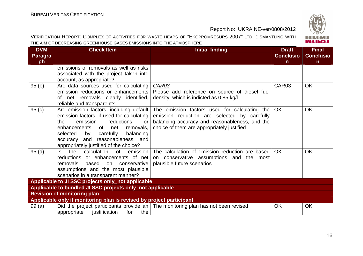BUREAU<br>VERITAS

#### Report No: UKRAINE-ver/0808/2012

| <b>DVM</b>     | <b>Check Item</b>                                                    | <b>Initial finding</b>                                                                   | <b>Draft</b>     | <b>Final</b>     |
|----------------|----------------------------------------------------------------------|------------------------------------------------------------------------------------------|------------------|------------------|
| <b>Paragra</b> |                                                                      |                                                                                          | <b>Conclusio</b> | <b>Conclusio</b> |
| ph             |                                                                      |                                                                                          | $\mathsf{n}$     | $\mathsf{n}$     |
|                | emissions or removals as well as risks                               |                                                                                          |                  |                  |
|                | associated with the project taken into                               |                                                                                          |                  |                  |
|                | account, as appropriate?                                             |                                                                                          |                  |                  |
| 95(b)          | Are data sources used for calculating                                | <b>CAR03</b>                                                                             | CAR03            | <b>OK</b>        |
|                | emission reductions or enhancements                                  | Please add reference on source of diesel fuel                                            |                  |                  |
|                | of net removals clearly identified,                                  | density, which is indicted as 0,85 kg/l                                                  |                  |                  |
|                | reliable and transparent?                                            |                                                                                          |                  |                  |
| 95(c)          | Are emission factors, including default                              | The emission factors used for calculating the                                            | OK               | <b>OK</b>        |
|                | emission factors, if used for calculating                            | emission reduction are selected by carefully                                             |                  |                  |
|                | emission<br>reductions<br>the<br>or                                  | balancing accuracy and reasonableness, and the                                           |                  |                  |
|                | removals,<br>enhancements<br>of<br>net                               | choice of them are appropriately justified                                               |                  |                  |
|                | selected<br>carefully<br>balancing<br>by                             |                                                                                          |                  |                  |
|                | accuracy and reasonableness, and                                     |                                                                                          |                  |                  |
|                | appropriately justified of the choice?                               |                                                                                          |                  |                  |
| 95(d)          | of b<br>Is the<br>calculation<br>emission                            | The calculation of emission reduction are based                                          | <b>OK</b>        | <b>OK</b>        |
|                | reductions or enhancements of net                                    | on conservative assumptions and the most                                                 |                  |                  |
|                | based<br>conservative  <br>removals<br>on                            | plausible future scenarios                                                               |                  |                  |
|                | assumptions and the most plausible                                   |                                                                                          |                  |                  |
|                | scenarios in a transparent manner?                                   |                                                                                          |                  |                  |
|                | Applicable to JI SSC projects only_not applicable                    |                                                                                          |                  |                  |
|                | Applicable to bundled JI SSC projects only_not applicable            |                                                                                          |                  |                  |
|                | <b>Revision of monitoring plan</b>                                   |                                                                                          |                  |                  |
|                | Applicable only if monitoring plan is revised by project participant |                                                                                          |                  |                  |
| 99(a)          |                                                                      | Did the project participants provide an $\vert$ The monitoring plan has not been revised | <b>OK</b>        | OK               |
|                | appropriate<br>justification<br>the<br>for                           |                                                                                          |                  |                  |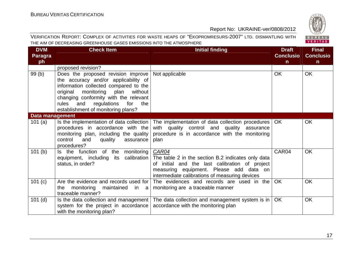

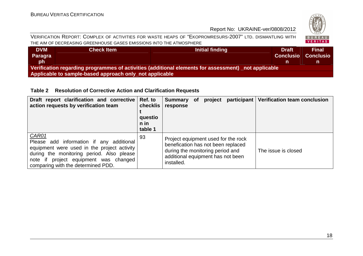#### VERIFICATION REPORT: COMPLEX OF ACTIVITIES FOR WASTE HEAPS OF "EKOPROMRESURS-2007" LTD. DISMANTLING WITH THE AIM OF DECREASING GREENHOUSE GASES EMISSIONS INTO THE ATMOSPHERE

| <b>DVM</b><br><b>Paragra</b><br><b>lph</b>                                                          | <b>Check Item</b> | Initial finding | <b>Draft</b><br><b>Conclusio</b> | <b>Final</b><br><b>Conclusio</b> |  |  |
|-----------------------------------------------------------------------------------------------------|-------------------|-----------------|----------------------------------|----------------------------------|--|--|
| Verification regarding programmes of activities (additional elements for assessment) not applicable |                   |                 |                                  |                                  |  |  |
| Applicable to sample-based approach only not applicable                                             |                   |                 |                                  |                                  |  |  |

#### **Table 2 Resolution of Corrective Action and Clarification Requests**

| Draft report clarification and corrective<br>action requests by verification team                                                                                                                                            | Ref. to<br>checklis<br>questio<br>n in<br>table 1 | Summary of<br>response                                                                                                                                           | project | participant | <b>Verification team conclusion</b> |
|------------------------------------------------------------------------------------------------------------------------------------------------------------------------------------------------------------------------------|---------------------------------------------------|------------------------------------------------------------------------------------------------------------------------------------------------------------------|---------|-------------|-------------------------------------|
| CAR01<br>Please add information if any additional<br>equipment were used in the project activity<br>during the monitoring period. Also please<br>note if project equipment was changed<br>comparing with the determined PDD. | 93                                                | Project equipment used for the rock<br>benefication has not been replaced<br>during the monitoring period and<br>additional equipment has not been<br>installed. |         |             | The issue is closed                 |